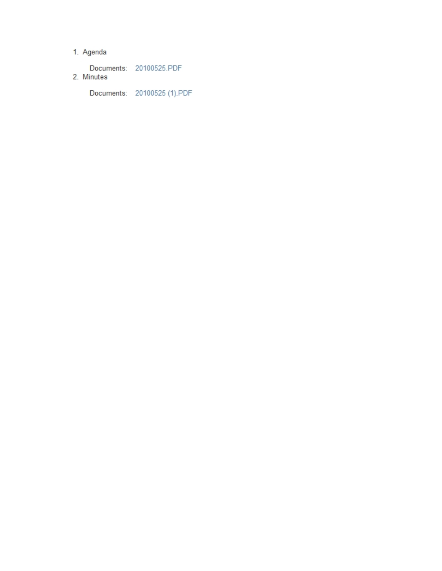# 1. Agenda

Documents: 20100525.PDF 2. Minutes

Documents: 20100525 (1).PDF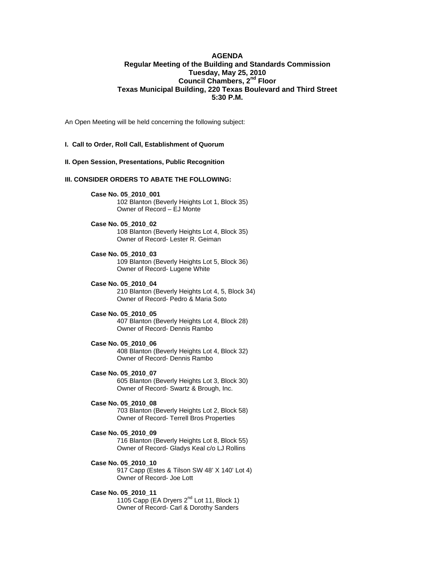### **AGENDA Regular Meeting of the Building and Standards Commission Tuesday, May 25, 2010 Council Chambers, 2nd Floor Texas Municipal Building, 220 Texas Boulevard and Third Street 5:30 P.M.**

An Open Meeting will be held concerning the following subject:

#### **I. Call to Order, Roll Call, Establishment of Quorum**

#### **II. Open Session, Presentations, Public Recognition**

#### **III. CONSIDER ORDERS TO ABATE THE FOLLOWING:**

**Case No. 05\_2010\_001** 

 102 Blanton (Beverly Heights Lot 1, Block 35) Owner of Record – EJ Monte

#### **Case No. 05\_2010\_02**

 108 Blanton (Beverly Heights Lot 4, Block 35) Owner of Record- Lester R. Geiman

- **Case No. 05\_2010\_03**  109 Blanton (Beverly Heights Lot 5, Block 36) Owner of Record- Lugene White
- **Case No. 05\_2010\_04**  210 Blanton (Beverly Heights Lot 4, 5, Block 34) Owner of Record- Pedro & Maria Soto

### **Case No. 05\_2010\_05**

 407 Blanton (Beverly Heights Lot 4, Block 28) Owner of Record- Dennis Rambo

- **Case No. 05\_2010\_06**  408 Blanton (Beverly Heights Lot 4, Block 32) Owner of Record- Dennis Rambo
- **Case No. 05\_2010\_07**  605 Blanton (Beverly Heights Lot 3, Block 30) Owner of Record- Swartz & Brough, Inc.
- **Case No. 05\_2010\_08**  703 Blanton (Beverly Heights Lot 2, Block 58) Owner of Record- Terrell Bros Properties

## **Case No. 05\_2010\_09**  716 Blanton (Beverly Heights Lot 8, Block 55)

Owner of Record- Gladys Keal c/o LJ Rollins

**Case No. 05\_2010\_10**  917 Capp (Estes & Tilson SW 48' X 140' Lot 4) Owner of Record- Joe Lott

#### **Case No. 05\_2010\_11**

1105 Capp (EA Dryers  $2^{nd}$  Lot 11, Block 1) Owner of Record- Carl & Dorothy Sanders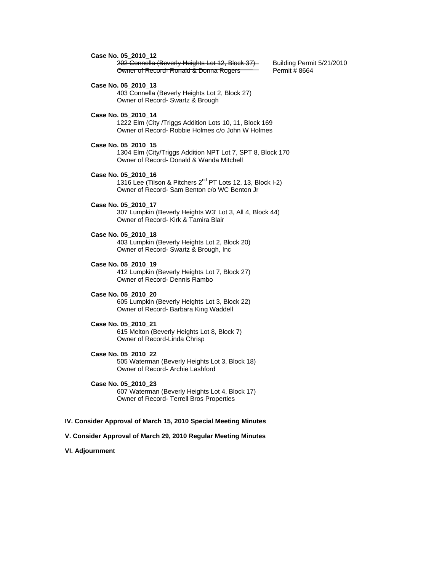**Case No. 05\_2010\_12** 

202 Connella (Beverly Heights Lot 12, Block 37) Building Permit 5/21/2010<br>Owner of Record-Ronald & Donna Rogers - Permit # 8664 Owner of Record- Ronald & Donna Rogers

 **Case No. 05\_2010\_13** 

 403 Connella (Beverly Heights Lot 2, Block 27) Owner of Record- Swartz & Brough

**Case No. 05\_2010\_14** 

 1222 Elm (City /Triggs Addition Lots 10, 11, Block 169 Owner of Record- Robbie Holmes c/o John W Holmes

- **Case No. 05\_2010\_15**  1304 Elm (City/Triggs Addition NPT Lot 7, SPT 8, Block 170 Owner of Record- Donald & Wanda Mitchell
- **Case No. 05\_2010\_16**  1316 Lee (Tilson & Pitchers 2<sup>nd</sup> PT Lots 12, 13, Block I-2) Owner of Record- Sam Benton c/o WC Benton Jr
- **Case No. 05\_2010\_17**  307 Lumpkin (Beverly Heights W3' Lot 3, All 4, Block 44) Owner of Record- Kirk & Tamira Blair
- **Case No. 05\_2010\_18**  403 Lumpkin (Beverly Heights Lot 2, Block 20) Owner of Record- Swartz & Brough, Inc
- **Case No. 05\_2010\_19**  412 Lumpkin (Beverly Heights Lot 7, Block 27) Owner of Record- Dennis Rambo
- **Case No. 05\_2010\_20**  605 Lumpkin (Beverly Heights Lot 3, Block 22) Owner of Record- Barbara King Waddell
- **Case No. 05\_2010\_21**  615 Melton (Beverly Heights Lot 8, Block 7) Owner of Record-Linda Chrisp
- **Case No. 05\_2010\_22**  505 Waterman (Beverly Heights Lot 3, Block 18) Owner of Record- Archie Lashford
- **Case No. 05\_2010\_23**  607 Waterman (Beverly Heights Lot 4, Block 17) Owner of Record- Terrell Bros Properties

#### **IV. Consider Approval of March 15, 2010 Special Meeting Minutes**

- **V. Consider Approval of March 29, 2010 Regular Meeting Minutes**
- **VI. Adjournment**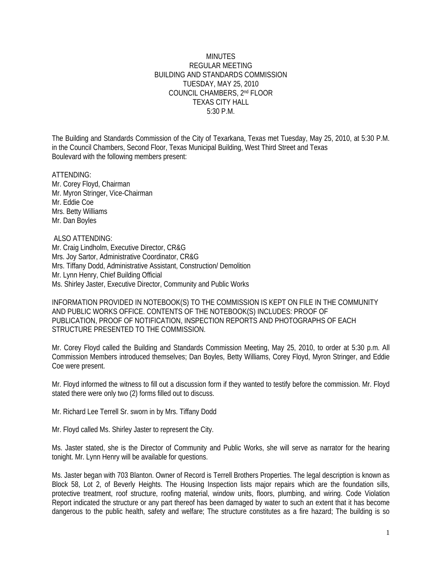### MINUTES REGULAR MEETING BUILDING AND STANDARDS COMMISSION TUESDAY, MAY 25, 2010 COUNCIL CHAMBERS, 2nd FLOOR TEXAS CITY HALL 5:30 P.M.

The Building and Standards Commission of the City of Texarkana, Texas met Tuesday, May 25, 2010, at 5:30 P.M. in the Council Chambers, Second Floor, Texas Municipal Building, West Third Street and Texas Boulevard with the following members present:

ATTENDING: Mr. Corey Floyd, Chairman Mr. Myron Stringer, Vice-Chairman Mr. Eddie Coe Mrs. Betty Williams Mr. Dan Boyles

 ALSO ATTENDING: Mr. Craig Lindholm, Executive Director, CR&G Mrs. Joy Sartor, Administrative Coordinator, CR&G Mrs. Tiffany Dodd, Administrative Assistant, Construction/ Demolition Mr. Lynn Henry, Chief Building Official Ms. Shirley Jaster, Executive Director, Community and Public Works

INFORMATION PROVIDED IN NOTEBOOK(S) TO THE COMMISSION IS KEPT ON FILE IN THE COMMUNITY AND PUBLIC WORKS OFFICE. CONTENTS OF THE NOTEBOOK(S) INCLUDES: PROOF OF PUBLICATION, PROOF OF NOTIFICATION, INSPECTION REPORTS AND PHOTOGRAPHS OF EACH STRUCTURE PRESENTED TO THE COMMISSION.

Mr. Corey Floyd called the Building and Standards Commission Meeting, May 25, 2010, to order at 5:30 p.m. All Commission Members introduced themselves; Dan Boyles, Betty Williams, Corey Floyd, Myron Stringer, and Eddie Coe were present.

Mr. Floyd informed the witness to fill out a discussion form if they wanted to testify before the commission. Mr. Floyd stated there were only two (2) forms filled out to discuss.

Mr. Richard Lee Terrell Sr. sworn in by Mrs. Tiffany Dodd

Mr. Floyd called Ms. Shirley Jaster to represent the City.

Ms. Jaster stated, she is the Director of Community and Public Works, she will serve as narrator for the hearing tonight. Mr. Lynn Henry will be available for questions.

Ms. Jaster began with 703 Blanton. Owner of Record is Terrell Brothers Properties. The legal description is known as Block 58, Lot 2, of Beverly Heights. The Housing Inspection lists major repairs which are the foundation sills, protective treatment, roof structure, roofing material, window units, floors, plumbing, and wiring. Code Violation Report indicated the structure or any part thereof has been damaged by water to such an extent that it has become dangerous to the public health, safety and welfare; The structure constitutes as a fire hazard; The building is so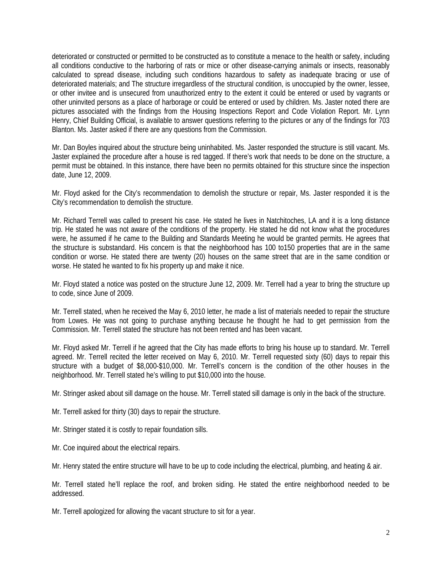deteriorated or constructed or permitted to be constructed as to constitute a menace to the health or safety, including all conditions conductive to the harboring of rats or mice or other disease-carrying animals or insects, reasonably calculated to spread disease, including such conditions hazardous to safety as inadequate bracing or use of deteriorated materials; and The structure irregardless of the structural condition, is unoccupied by the owner, lessee, or other invitee and is unsecured from unauthorized entry to the extent it could be entered or used by vagrants or other uninvited persons as a place of harborage or could be entered or used by children. Ms. Jaster noted there are pictures associated with the findings from the Housing Inspections Report and Code Violation Report. Mr. Lynn Henry, Chief Building Official, is available to answer questions referring to the pictures or any of the findings for 703 Blanton. Ms. Jaster asked if there are any questions from the Commission.

Mr. Dan Boyles inquired about the structure being uninhabited. Ms. Jaster responded the structure is still vacant. Ms. Jaster explained the procedure after a house is red tagged. If there's work that needs to be done on the structure, a permit must be obtained. In this instance, there have been no permits obtained for this structure since the inspection date, June 12, 2009.

Mr. Floyd asked for the City's recommendation to demolish the structure or repair, Ms. Jaster responded it is the City's recommendation to demolish the structure.

Mr. Richard Terrell was called to present his case. He stated he lives in Natchitoches, LA and it is a long distance trip. He stated he was not aware of the conditions of the property. He stated he did not know what the procedures were, he assumed if he came to the Building and Standards Meeting he would be granted permits. He agrees that the structure is substandard. His concern is that the neighborhood has 100 to150 properties that are in the same condition or worse. He stated there are twenty (20) houses on the same street that are in the same condition or worse. He stated he wanted to fix his property up and make it nice.

Mr. Floyd stated a notice was posted on the structure June 12, 2009. Mr. Terrell had a year to bring the structure up to code, since June of 2009.

Mr. Terrell stated, when he received the May 6, 2010 letter, he made a list of materials needed to repair the structure from Lowes. He was not going to purchase anything because he thought he had to get permission from the Commission. Mr. Terrell stated the structure has not been rented and has been vacant.

Mr. Floyd asked Mr. Terrell if he agreed that the City has made efforts to bring his house up to standard. Mr. Terrell agreed. Mr. Terrell recited the letter received on May 6, 2010. Mr. Terrell requested sixty (60) days to repair this structure with a budget of \$8,000-\$10,000. Mr. Terrell's concern is the condition of the other houses in the neighborhood. Mr. Terrell stated he's willing to put \$10,000 into the house.

Mr. Stringer asked about sill damage on the house. Mr. Terrell stated sill damage is only in the back of the structure.

Mr. Terrell asked for thirty (30) days to repair the structure.

Mr. Stringer stated it is costly to repair foundation sills.

Mr. Coe inquired about the electrical repairs.

Mr. Henry stated the entire structure will have to be up to code including the electrical, plumbing, and heating & air.

Mr. Terrell stated he'll replace the roof, and broken siding. He stated the entire neighborhood needed to be addressed.

Mr. Terrell apologized for allowing the vacant structure to sit for a year.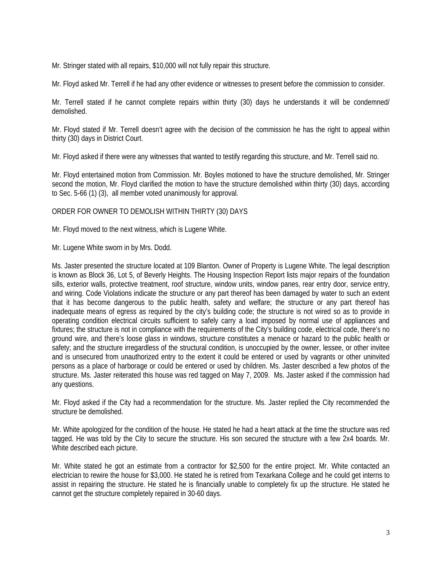Mr. Stringer stated with all repairs, \$10,000 will not fully repair this structure.

Mr. Floyd asked Mr. Terrell if he had any other evidence or witnesses to present before the commission to consider.

Mr. Terrell stated if he cannot complete repairs within thirty (30) days he understands it will be condemned/ demolished.

Mr. Floyd stated if Mr. Terrell doesn't agree with the decision of the commission he has the right to appeal within thirty (30) days in District Court.

Mr. Floyd asked if there were any witnesses that wanted to testify regarding this structure, and Mr. Terrell said no.

Mr. Floyd entertained motion from Commission. Mr. Boyles motioned to have the structure demolished, Mr. Stringer second the motion, Mr. Floyd clarified the motion to have the structure demolished within thirty (30) days, according to Sec. 5-66 (1) (3), all member voted unanimously for approval.

## ORDER FOR OWNER TO DEMOLISH WITHIN THIRTY (30) DAYS

Mr. Floyd moved to the next witness, which is Lugene White.

Mr. Lugene White sworn in by Mrs. Dodd.

Ms. Jaster presented the structure located at 109 Blanton. Owner of Property is Lugene White. The legal description is known as Block 36, Lot 5, of Beverly Heights. The Housing Inspection Report lists major repairs of the foundation sills, exterior walls, protective treatment, roof structure, window units, window panes, rear entry door, service entry, and wiring. Code Violations indicate the structure or any part thereof has been damaged by water to such an extent that it has become dangerous to the public health, safety and welfare; the structure or any part thereof has inadequate means of egress as required by the city's building code; the structure is not wired so as to provide in operating condition electrical circuits sufficient to safely carry a load imposed by normal use of appliances and fixtures; the structure is not in compliance with the requirements of the City's building code, electrical code, there's no ground wire, and there's loose glass in windows, structure constitutes a menace or hazard to the public health or safety; and the structure irregardless of the structural condition, is unoccupied by the owner, lessee, or other invitee and is unsecured from unauthorized entry to the extent it could be entered or used by vagrants or other uninvited persons as a place of harborage or could be entered or used by children. Ms. Jaster described a few photos of the structure. Ms. Jaster reiterated this house was red tagged on May 7, 2009. Ms. Jaster asked if the commission had any questions.

Mr. Floyd asked if the City had a recommendation for the structure. Ms. Jaster replied the City recommended the structure be demolished.

Mr. White apologized for the condition of the house. He stated he had a heart attack at the time the structure was red tagged. He was told by the City to secure the structure. His son secured the structure with a few 2x4 boards. Mr. White described each picture.

Mr. White stated he got an estimate from a contractor for \$2,500 for the entire project. Mr. White contacted an electrician to rewire the house for \$3,000. He stated he is retired from Texarkana College and he could get interns to assist in repairing the structure. He stated he is financially unable to completely fix up the structure. He stated he cannot get the structure completely repaired in 30-60 days.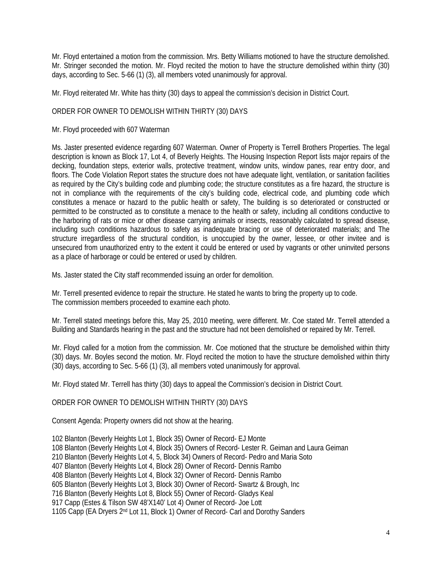Mr. Floyd entertained a motion from the commission. Mrs. Betty Williams motioned to have the structure demolished. Mr. Stringer seconded the motion. Mr. Floyd recited the motion to have the structure demolished within thirty (30) days, according to Sec. 5-66 (1) (3), all members voted unanimously for approval.

Mr. Floyd reiterated Mr. White has thirty (30) days to appeal the commission's decision in District Court.

## ORDER FOR OWNER TO DEMOLISH WITHIN THIRTY (30) DAYS

Mr. Floyd proceeded with 607 Waterman

Ms. Jaster presented evidence regarding 607 Waterman. Owner of Property is Terrell Brothers Properties. The legal description is known as Block 17, Lot 4, of Beverly Heights. The Housing Inspection Report lists major repairs of the decking, foundation steps, exterior walls, protective treatment, window units, window panes, rear entry door, and floors. The Code Violation Report states the structure does not have adequate light, ventilation, or sanitation facilities as required by the City's building code and plumbing code; the structure constitutes as a fire hazard, the structure is not in compliance with the requirements of the city's building code, electrical code, and plumbing code which constitutes a menace or hazard to the public health or safety, The building is so deteriorated or constructed or permitted to be constructed as to constitute a menace to the health or safety, including all conditions conductive to the harboring of rats or mice or other disease carrying animals or insects, reasonably calculated to spread disease, including such conditions hazardous to safety as inadequate bracing or use of deteriorated materials; and The structure irregardless of the structural condition, is unoccupied by the owner, lessee, or other invitee and is unsecured from unauthorized entry to the extent it could be entered or used by vagrants or other uninvited persons as a place of harborage or could be entered or used by children.

Ms. Jaster stated the City staff recommended issuing an order for demolition.

Mr. Terrell presented evidence to repair the structure. He stated he wants to bring the property up to code. The commission members proceeded to examine each photo.

Mr. Terrell stated meetings before this, May 25, 2010 meeting, were different. Mr. Coe stated Mr. Terrell attended a Building and Standards hearing in the past and the structure had not been demolished or repaired by Mr. Terrell.

Mr. Floyd called for a motion from the commission. Mr. Coe motioned that the structure be demolished within thirty (30) days. Mr. Boyles second the motion. Mr. Floyd recited the motion to have the structure demolished within thirty (30) days, according to Sec. 5-66 (1) (3), all members voted unanimously for approval.

Mr. Floyd stated Mr. Terrell has thirty (30) days to appeal the Commission's decision in District Court.

ORDER FOR OWNER TO DEMOLISH WITHIN THIRTY (30) DAYS

Consent Agenda: Property owners did not show at the hearing.

102 Blanton (Beverly Heights Lot 1, Block 35) Owner of Record- EJ Monte 108 Blanton (Beverly Heights Lot 4, Block 35) Owners of Record- Lester R. Geiman and Laura Geiman 210 Blanton (Beverly Heights Lot 4, 5, Block 34) Owners of Record- Pedro and Maria Soto 407 Blanton (Beverly Heights Lot 4, Block 28) Owner of Record- Dennis Rambo 408 Blanton (Beverly Heights Lot 4, Block 32) Owner of Record- Dennis Rambo 605 Blanton (Beverly Heights Lot 3, Block 30) Owner of Record- Swartz & Brough, Inc 716 Blanton (Beverly Heights Lot 8, Block 55) Owner of Record- Gladys Keal 917 Capp (Estes & Tilson SW 48'X140' Lot 4) Owner of Record- Joe Lott 1105 Capp (EA Dryers 2nd Lot 11, Block 1) Owner of Record- Carl and Dorothy Sanders